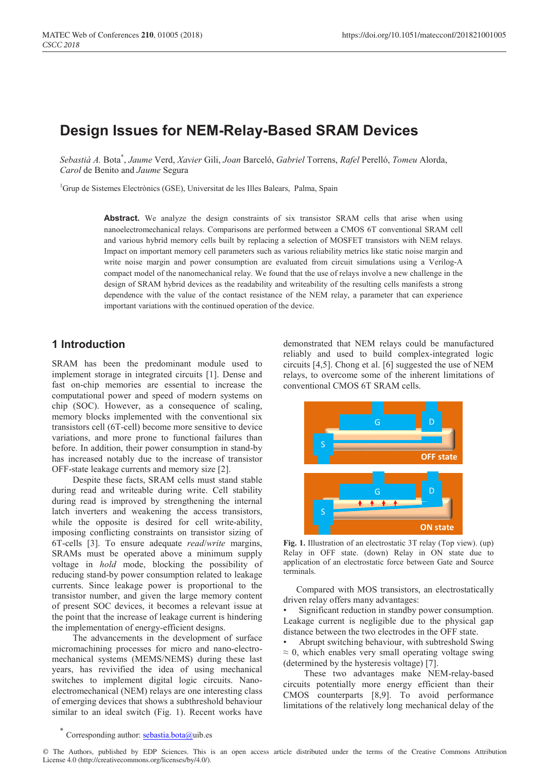# **Design Issues for NEM-Relay-Based SRAM Devices**

*Sebastià A.* Bota\* , *Jaume* Verd, *Xavier* Gili, *Joan* Barceló, *Gabriel* Torrens, *Rafel* Perelló, *Tomeu* Alorda, *Carol* de Benito and *Jaume* Segura

<sup>1</sup>Grup de Sistemes Electrònics (GSE), Universitat de les Illes Balears, Palma, Spain

Abstract. We analyze the design constraints of six transistor SRAM cells that arise when using nanoelectromechanical relays. Comparisons are performed between a CMOS 6T conventional SRAM cell and various hybrid memory cells built by replacing a selection of MOSFET transistors with NEM relays. Impact on important memory cell parameters such as various reliability metrics like static noise margin and write noise margin and power consumption are evaluated from circuit simulations using a Verilog-A compact model of the nanomechanical relay. We found that the use of relays involve a new challenge in the design of SRAM hybrid devices as the readability and writeability of the resulting cells manifests a strong dependence with the value of the contact resistance of the NEM relay, a parameter that can experience important variations with the continued operation of the device.

# **1 Introduction**

SRAM has been the predominant module used to implement storage in integrated circuits [1]. Dense and fast on-chip memories are essential to increase the computational power and speed of modern systems on chip (SOC). However, as a consequence of scaling, memory blocks implemented with the conventional six transistors cell (6T-cell) become more sensitive to device variations, and more prone to functional failures than before. In addition, their power consumption in stand-by has increased notably due to the increase of transistor OFF-state leakage currents and memory size [2].

Despite these facts, SRAM cells must stand stable during read and writeable during write. Cell stability during read is improved by strengthening the internal latch inverters and weakening the access transistors, while the opposite is desired for cell write-ability, imposing conflicting constraints on transistor sizing of 6T-cells [3]. To ensure adequate *read*/*write* margins, SRAMs must be operated above a minimum supply voltage in *hold* mode, blocking the possibility of reducing stand-by power consumption related to leakage currents. Since leakage power is proportional to the transistor number, and given the large memory content of present SOC devices, it becomes a relevant issue at the point that the increase of leakage current is hindering the implementation of energy-efficient designs.

The advancements in the development of surface micromachining processes for micro and nano-electromechanical systems (MEMS/NEMS) during these last years, has revivified the idea of using mechanical switches to implement digital logic circuits. Nanoelectromechanical (NEM) relays are one interesting class of emerging devices that shows a subthreshold behaviour similar to an ideal switch (Fig. 1). Recent works have

demonstrated that NEM relays could be manufactured reliably and used to build complex-integrated logic circuits [4,5]. Chong et al. [6] suggested the use of NEM relays, to overcome some of the inherent limitations of conventional CMOS 6T SRAM cells.



**Fig. 1.** Illustration of an electrostatic 3T relay (Top view). (up) Relay in OFF state. (down) Relay in ON state due to application of an electrostatic force between Gate and Source terminals.

Compared with MOS transistors, an electrostatically driven relay offers many advantages:

Significant reduction in standby power consumption. Leakage current is negligible due to the physical gap distance between the two electrodes in the OFF state.

• Abrupt switching behaviour, with subtreshold Swing  $\approx$  0, which enables very small operating voltage swing (determined by the hysteresis voltage) [7].

These two advantages make NEM-relay-based circuits potentially more energy efficient than their CMOS counterparts [8,9]. To avoid performance limitations of the relatively long mechanical delay of the

Corresponding author: sebastia.bota@uib.es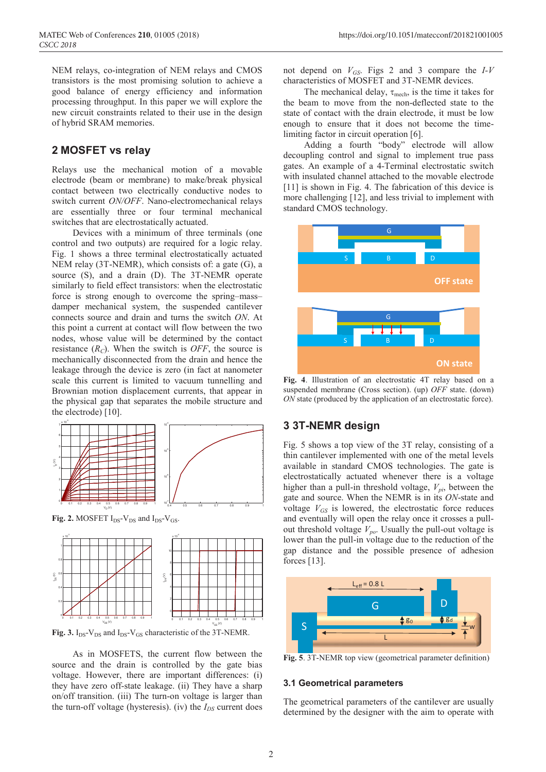NEM relays, co-integration of NEM relays and CMOS transistors is the most promising solution to achieve a good balance of energy efficiency and information processing throughput. In this paper we will explore the new circuit constraints related to their use in the design of hybrid SRAM memories.

# **2 MOSFET vs relay**

Relays use the mechanical motion of a movable electrode (beam or membrane) to make/break physical contact between two electrically conductive nodes to switch current *ON/OFF*. Nano-electromechanical relays are essentially three or four terminal mechanical switches that are electrostatically actuated.

Devices with a minimum of three terminals (one control and two outputs) are required for a logic relay. Fig. 1 shows a three terminal electrostatically actuated NEM relay (3T-NEMR), which consists of: a gate (G), a source (S), and a drain (D). The 3T-NEMR operate similarly to field effect transistors: when the electrostatic force is strong enough to overcome the spring–mass– damper mechanical system, the suspended cantilever connects source and drain and turns the switch *ON*. At this point a current at contact will flow between the two nodes, whose value will be determined by the contact resistance  $(R_C)$ . When the switch is *OFF*, the source is mechanically disconnected from the drain and hence the leakage through the device is zero (in fact at nanometer scale this current is limited to vacuum tunnelling and Brownian motion displacement currents, that appear in the physical gap that separates the mobile structure and the electrode) [10].



**Fig. 2.** MOSFET  $I_{DS}$ - $V_{DS}$  and  $I_{DS}$ - $V_{GS}$ .



**Fig. 3.**  $I_{DS}$ - $V_{DS}$  and  $I_{DS}$ - $V_{GS}$  characteristic of the 3T-NEMR.

As in MOSFETS, the current flow between the source and the drain is controlled by the gate bias voltage. However, there are important differences: (i) they have zero off-state leakage. (ii) They have a sharp on/off transition. (iii) The turn-on voltage is larger than the turn-off voltage (hysteresis). (iv) the  $I_{DS}$  current does

not depend on *VGS*. Figs 2 and 3 compare the *I-V*  characteristics of MOSFET and 3T-NEMR devices.

The mechanical delay,  $\tau_{\text{mech}}$ , is the time it takes for the beam to move from the non-deflected state to the state of contact with the drain electrode, it must be low enough to ensure that it does not become the timelimiting factor in circuit operation [6].

Adding a fourth "body" electrode will allow decoupling control and signal to implement true pass gates. An example of a 4-Terminal electrostatic switch with insulated channel attached to the movable electrode [11] is shown in Fig. 4. The fabrication of this device is more challenging [12], and less trivial to implement with standard CMOS technology.



**Fig. 4**. Illustration of an electrostatic 4T relay based on a suspended membrane (Cross section). (up) *OFF* state. (down) *ON* state (produced by the application of an electrostatic force).

# **3 3T-NEMR design**

Fig. 5 shows a top view of the 3T relay, consisting of a thin cantilever implemented with one of the metal levels available in standard CMOS technologies. The gate is electrostatically actuated whenever there is a voltage higher than a pull-in threshold voltage,  $V_{pi}$ , between the gate and source. When the NEMR is in its *ON*-state and voltage  $V_{GS}$  is lowered, the electrostatic force reduces and eventually will open the relay once it crosses a pullout threshold voltage  $V_{po}$ . Usually the pull-out voltage is lower than the pull-in voltage due to the reduction of the gap distance and the possible presence of adhesion forces [13].



**Fig. 5**. 3T-NEMR top view (geometrical parameter definition)

#### **3.1 Geometrical parameters**

The geometrical parameters of the cantilever are usually determined by the designer with the aim to operate with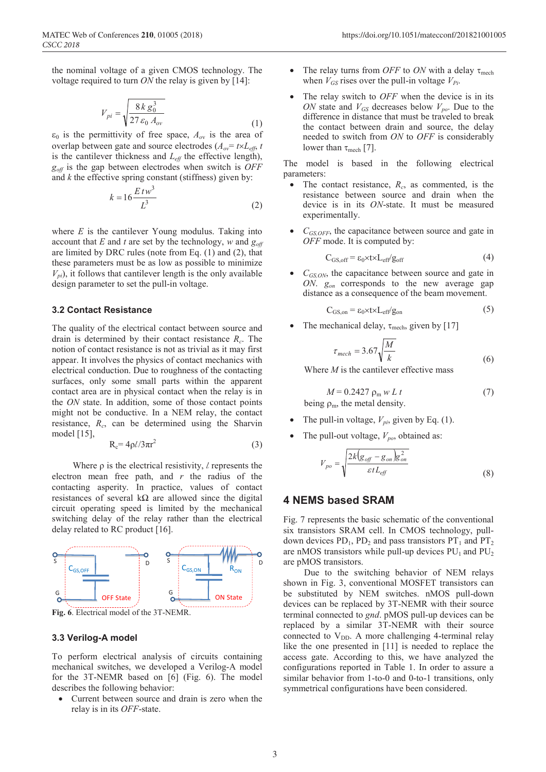the nominal voltage of a given CMOS technology. The voltage required to turn *ON* the relay is given by [14]:

$$
V_{pi} = \sqrt{\frac{8 \, k \, g_0^3}{27 \, \varepsilon_0 \, A_{ov}}} \tag{1}
$$

 $\varepsilon_0$  is the permittivity of free space,  $A_{ov}$  is the area of overlap between gate and source electrodes  $(A_{ov} = t \times L_{eff}$ , *t* is the cantilever thickness and  $L_{\text{eff}}$  the effective length), *goff* is the gap between electrodes when switch is *OFF* and *k* the effective spring constant (stiffness) given by:

$$
k = 16 \frac{E \, t \, w^3}{L^3} \tag{2}
$$

where *E* is the cantilever Young modulus. Taking into account that *E* and *t* are set by the technology, *w* and  $g_{\text{off}}$ are limited by DRC rules (note from Eq. (1) and (2), that these parameters must be as low as possible to minimize  $V_{pi}$ ), it follows that cantilever length is the only available design parameter to set the pull-in voltage.

#### **3.2 Contact Resistance**

The quality of the electrical contact between source and drain is determined by their contact resistance *Rc*. The notion of contact resistance is not as trivial as it may first appear. It involves the physics of contact mechanics with electrical conduction. Due to roughness of the contacting surfaces, only some small parts within the apparent contact area are in physical contact when the relay is in the *ON* state. In addition, some of those contact points might not be conductive. In a NEM relay, the contact resistance, *Rc*, can be determined using the Sharvin model  $[15]$ ,

$$
R_c = 4\rho l/3\pi r^2\tag{3}
$$

Where  $\rho$  is the electrical resistivity,  $\ell$  represents the electron mean free path, and *r* the radius of the contacting asperity. In practice, values of contact resistances of several  $k\Omega$  are allowed since the digital circuit operating speed is limited by the mechanical switching delay of the relay rather than the electrical delay related to RC product [16].



**Fig. 6**. Electrical model of the 3T-NEMR.

#### **3.3 Verilog-A model**

To perform electrical analysis of circuits containing mechanical switches, we developed a Verilog-A model for the 3T-NEMR based on [6] (Fig. 6). The model describes the following behavior:

• Current between source and drain is zero when the relay is in its *OFF*-state.

- The relay turns from *OFF* to *ON* with a delay  $\tau_{\text{mech}}$ when  $V_{GS}$  rises over the pull-in voltage  $V_{Pi}$ .
- The relay switch to *OFF* when the device is in its *ON* state and  $V_{GS}$  decreases below  $V_{po}$ . Due to the difference in distance that must be traveled to break the contact between drain and source, the delay needed to switch from *ON* to *OFF* is considerably lower than  $\tau_{mech}$  [7].

The model is based in the following electrical parameters:

- The contact resistance,  $R_c$ , as commented, is the resistance between source and drain when the device is in its *ON*-state. It must be measured experimentally.
- *CGS,OFF*, the capacitance between source and gate in *OFF* mode. It is computed by:

$$
C_{GS, off} = \varepsilon_0 \times t \times L_{eff} / g_{off}
$$
 (4)

 $C_{GS,ON}$ , the capacitance between source and gate in *ON*. *gon* corresponds to the new average gap distance as a consequence of the beam movement.

$$
C_{GS, on} = \varepsilon_0 \times t \times L_{eff}/g_{on}
$$
 (5)

The mechanical delay,  $\tau_{\text{mech}}$ , given by [17]

$$
\tau_{mech} = 3.67 \sqrt{\frac{M}{k}}
$$
 (6)

Where *M* is the cantilever effective mass

$$
M = 0.2427 \rho_m w L t \tag{7}
$$

being  $\rho_m$ , the metal density.

- The pull-in voltage,  $V_{pi}$ , given by Eq. (1).
- The pull-out voltage,  $V_{po}$ , obtained as:

$$
V_{po} = \sqrt{\frac{2k(g_{off} - g_{on})g_{on}^2}{\varepsilon t L_{eff}}}
$$
(8)

# **4 NEMS based SRAM**

Fig. 7 represents the basic schematic of the conventional six transistors SRAM cell. In CMOS technology, pulldown devices  $PD_1$ ,  $PD_2$  and pass transistors  $PT_1$  and  $PT_2$ are nMOS transistors while pull-up devices  $PU_1$  and  $PU_2$ are pMOS transistors.

Due to the switching behavior of NEM relays shown in Fig. 3, conventional MOSFET transistors can be substituted by NEM switches. nMOS pull-down devices can be replaced by 3T-NEMR with their source terminal connected to *gnd*. pMOS pull-up devices can be replaced by a similar 3T-NEMR with their source connected to  $V_{DD}$ . A more challenging 4-terminal relay like the one presented in [11] is needed to replace the access gate. According to this, we have analyzed the configurations reported in Table 1. In order to assure a similar behavior from 1-to-0 and 0-to-1 transitions, only symmetrical configurations have been considered.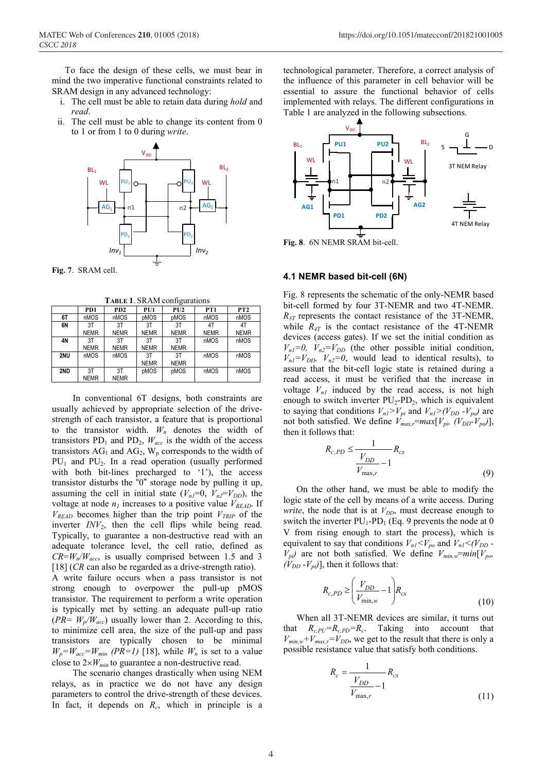To face the design of these cells, we must bear in mind the two imperative functional constraints related to SRAM design in any advanced technology:

- i. The cell must be able to retain data during *hold* and *read*.
- ii. The cell must be able to change its content from 0 to 1 or from 1 to 0 during *write*.



**TABLE 1**. SRAM configurations

|     | $\overline{\phantom{0}}$ |                             |             |             |                 |                 |  |  |
|-----|--------------------------|-----------------------------|-------------|-------------|-----------------|-----------------|--|--|
|     | P <sub>D</sub> 1         | P <sub>D</sub> <sub>2</sub> | PU1         | PU2         | PT <sub>1</sub> | PT <sub>2</sub> |  |  |
| 6T  | nMOS                     | nMOS                        | pMOS        | pMOS        | nMOS            | nMOS            |  |  |
| 6N  | 3T                       | 3T                          | 3T          | 3T          | 4T              | 4T              |  |  |
|     | <b>NEMR</b>              | <b>NEMR</b>                 | <b>NEMR</b> | <b>NEMR</b> | <b>NEMR</b>     | <b>NEMR</b>     |  |  |
| 4N  | 3T                       | 3T                          | 3T          | 3T          | nMOS            | nMOS            |  |  |
|     | <b>NEMR</b>              | <b>NEMR</b>                 | <b>NEMR</b> | <b>NEMR</b> |                 |                 |  |  |
| 2NU | nMOS                     | nMOS                        | 3T          | 3T          | nMOS            | nMOS            |  |  |
|     |                          |                             | <b>NEMR</b> | <b>NEMR</b> |                 |                 |  |  |
| 2ND | 3T                       | 3T                          | pMOS        | pMOS        | nMOS            | nMOS            |  |  |
|     | <b>NEMR</b>              | <b>NEMR</b>                 |             |             |                 |                 |  |  |

In conventional 6T designs, both constraints are usually achieved by appropriate selection of the drivestrength of each transistor, a feature that is proportional to the transistor width.  $W_n$  denotes the width of transistors  $PD_1$  and  $PD_2$ ,  $W_{acc}$  is the width of the access transistors  $AG_1$  and  $AG_2$ ,  $W_p$  corresponds to the width of  $PU_1$  and  $PU_2$ . In a read operation (usually performed with both bit-lines precharged to '1'), the access transistor disturbs the "0" storage node by pulling it up, assuming the cell in initial state  $(V_{nl}=0, V_{n2}=V_{DD})$ , the voltage at node  $n_l$  increases to a positive value  $V_{READ}$ . If  $V_{READ}$  becomes higher than the trip point  $V_{TRIP}$  of the inverter *INV*<sub>2</sub>, then the cell flips while being read. Typically, to guarantee a non-destructive read with an adequate tolerance level, the cell ratio, defined as  $CR = W_n/W_{acc}$  is usually comprised between 1.5 and 3 [18] (*CR* can also be regarded as a drive-strength ratio). A write failure occurs when a pass transistor is not strong enough to overpower the pull-up pMOS transistor. The requirement to perform a write operation is typically met by setting an adequate pull-up ratio  $(PR = W_p/W_{acc})$  usually lower than 2. According to this, to minimize cell area, the size of the pull-up and pass transistors are typically chosen to be minimal  $W_p = W_{acc} = W_{min}$  *(PR=1)* [18], while  $W_n$  is set to a value close to  $2\times W_{min}$  to guarantee a non-destructive read.

The scenario changes drastically when using NEM relays, as in practice we do not have any design parameters to control the drive-strength of these devices. In fact, it depends on  $R_c$ , which in principle is a

technological parameter. Therefore, a correct analysis of the influence of this parameter in cell behavior will be essential to assure the functional behavior of cells implemented with relays. The different configurations in Table 1 are analyzed in the following subsections.



**Fig. 8**. 6N NEMR SRAM bit-cell.

### **4.1 NEMR based bit-cell (6N)**

*R*

Fig. 8 represents the schematic of the only-NEMR based bit-cell formed by four 3T-NEMR and two 4T-NEMR. *R<sub>3T</sub>* represents the contact resistance of the 3T-NEMR, while  $R_{4T}$  is the contact resistance of the 4T-NEMR devices (access gates). If we set the initial condition as  $V_{nl}=0$ ,  $V_{n2}=V_{DD}$  (the other possible initial condition,  $V_{nl} = V_{DD}$ ,  $V_{n2} = 0$ , would lead to identical results), to assure that the bit-cell logic state is retained during a read access, it must be verified that the increase in voltage  $V_{nl}$  induced by the read access, is not high enough to switch inverter  $PU_2$ -PD<sub>2</sub>, which is equivalent to saying that conditions  $V_{nl} > V_{pi}$  and  $V_{nl} > (V_{DD} - V_{po})$  are not both satisfied. We define  $V_{max,r} = max[V_{pi}(V_{DD}-V_{po})]$ , then it follows that:

$$
R_{c,PD} \le \frac{1}{\frac{V_{DD}}{V_{\text{max},r}} - 1} R_{cx}
$$
\n(9)

On the other hand, we must be able to modify the logic state of the cell by means of a write access. During *write*, the node that is at  $V_{DD}$ , must decrease enough to switch the inverter  $PU_1$ - $PD_1$  (Eq. 9 prevents the node at 0 V from rising enough to start the process), which is equivalent to say that conditions  $V_{nl} < V_{po}$  and  $V_{nl} < (V_{DD} V_{pi}$ ) are not both satisfied. We define  $V_{min,w}$ = $min[V_{po}$  $(V_{DD} - V_{pi})$ , then it follows that:

$$
R_{c,PD} \ge \left(\frac{V_{DD}}{V_{\min,w}} - 1\right) R_{cx}
$$
\n(10)

When all 3T-NEMR devices are similar, it turns out that  $R_{c,PU} = R_{c,PD} = R_c$ . Taking into account that  $V_{min,w} + V_{max,r} = V_{DD}$ , we get to the result that there is only a possible resistance value that satisfy both conditions.

$$
R_c = \frac{1}{\frac{V_{DD}}{V_{\text{max},r}} - 1} R_{cx}
$$
\n(11)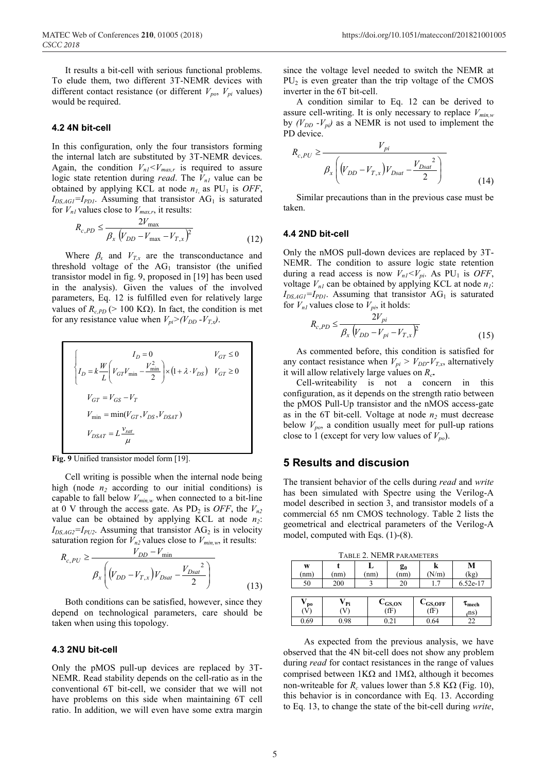It results a bit-cell with serious functional problems. To elude them, two different 3T-NEMR devices with different contact resistance (or different  $V_{po}$ ,  $V_{pi}$  values) would be required.

#### **4.2 4N bit-cell**

In this configuration, only the four transistors forming the internal latch are substituted by 3T-NEMR devices. Again, the condition  $V_{nl} < V_{max,r}$  is required to assure logic state retention during *read*. The  $V_{nl}$  value can be obtained by applying KCL at node  $n_1$  as PU<sub>1</sub> is *OFF*,  $I_{DS,AGI}$ = $I_{PDI}$ . Assuming that transistor  $AG<sub>1</sub>$  is saturated for  $V_{nl}$  values close to  $V_{max,r}$ , it results:

$$
R_{c,PD} \le \frac{2V_{\text{max}}}{\beta_x \left(V_{DD} - V_{\text{max}} - V_{T,x}\right)^2}
$$
(12)

Where  $\beta_x$  and  $V_{Tx}$  are the transconductance and threshold voltage of the  $AG<sub>1</sub>$  transistor (the unified transistor model in fig. 9, proposed in [19] has been used in the analysis). Given the values of the involved parameters, Eq. 12 is fulfilled even for relatively large values of  $R_{c,PD}$  (> 100 KΩ). In fact, the condition is met for any resistance value when  $V_{pi} > (V_{DD} - V_{Tx})$ .

$$
\begin{cases}\nI_D = 0 & V_{GT} \le 0 \\
I_D = k \frac{W}{L} \left( V_{GT} V_{\text{min}} - \frac{V_{\text{min}}^2}{2} \right) \times \left( 1 + \lambda \cdot V_{DS} \right) & V_{GT} \ge 0 \\
V_{GT} = V_{GS} - V_T \\
V_{\text{min}} = \min(V_{GT}, V_{DS}, V_{DSAT}) \\
V_{DSAT} = L \frac{v_{sat}}{\mu}\n\end{cases}
$$

**Fig. 9** Unified transistor model form [19].

Cell writing is possible when the internal node being high (node  $n_2$  according to our initial conditions) is capable to fall below  $V_{min,w}$  when connected to a bit-line at 0 V through the access gate. As PD<sub>2</sub> is *OFF*, the  $V_n$ <sup>2</sup> value can be obtained by applying KCL at node  $n_2$ :  $I_{DS,AG2}$ = $I_{PU2}$ . Assuming that transistor AG<sub>2</sub> is in velocity saturation region for  $V_{n2}$  values close to  $V_{min,w}$ , it results:

$$
R_{c,PU} \ge \frac{V_{DD} - V_{\min}}{\beta_x \left( (V_{DD} - V_{T,x}) V_{Dsat} - \frac{V_{Dsat}^2}{2} \right)}
$$
(13)

Both conditions can be satisfied, however, since they depend on technological parameters, care should be taken when using this topology.

### **4.3 2NU bit-cell**

Only the pMOS pull-up devices are replaced by 3T-NEMR. Read stability depends on the cell-ratio as in the conventional 6T bit-cell, we consider that we will not have problems on this side when maintaining 6T cell ratio. In addition, we will even have some extra margin

since the voltage level needed to switch the NEMR at  $PU<sub>2</sub>$  is even greater than the trip voltage of the CMOS inverter in the 6T bit-cell.

A condition similar to Eq. 12 can be derived to assure cell-writing. It is only necessary to replace *Vmin,w* by  $(V_{DD} - V_{pi})$  as a NEMR is not used to implement the PD device.

$$
R_{c,PU} \ge \frac{V_{pi}}{\beta_x \left( (V_{DD} - V_{T,x}) V_{Dsat} - \frac{V_{Dsat}^2}{2} \right)}
$$
\n(14)

Similar precautions than in the previous case must be taken.

#### **4.4 2ND bit-cell**

Only the nMOS pull-down devices are replaced by 3T-NEMR. The condition to assure logic state retention during a read access is now  $V_{nl} < V_{pi}$ . As PU<sub>1</sub> is *OFF*, voltage  $V_{nl}$  can be obtained by applying KCL at node  $n_l$ :  $I_{DS,AGI}$ =*I<sub>PD1</sub>*. Assuming that transistor  $AG<sub>1</sub>$  is saturated for  $V_{nl}$  values close to  $V_{pi}$ , it holds:

$$
R_{c,PD} \le \frac{2V_{pi}}{\beta_x \left(V_{DD} - V_{pi} - V_{T,x}\right)^2}
$$
\n(15)

As commented before, this condition is satisfied for any contact resistance when  $V_{pi} > V_{DD} - V_{T,x}$ , alternatively it will allow relatively large values on *Rc***.**

Cell-writeability is not a concern in this configuration, as it depends on the strength ratio between the pMOS Pull-Up transistor and the nMOS access-gate as in the 6T bit-cell. Voltage at node  $n_2$  must decrease below  $V_{po}$ , a condition usually meet for pull-up rations close to 1 (except for very low values of  $V_{po}$ ).

### **5 Results and discusion**

The transient behavior of the cells during *read* and *write* has been simulated with Spectre using the Verilog-A model described in section 3, and transistor models of a commercial 65 nm CMOS technology. Table 2 lists the geometrical and electrical parameters of the Verilog-A model, computed with Eqs. (1)-(8).

TABLE 2. NEMR PARAMETERS

| W<br>(nm) | (nm                   |  | L<br>nm                               | $\mathbf{g}_0$<br>(nm) | k<br>(N/m)                                      | М<br>(kg)                |
|-----------|-----------------------|--|---------------------------------------|------------------------|-------------------------------------------------|--------------------------|
| 50        | 200                   |  |                                       | 20                     | 1.7                                             | 6.52e-17                 |
|           |                       |  |                                       |                        |                                                 |                          |
| po<br>V)  | V <sub>Pi</sub><br>V) |  | $\mathbf{C}_{\mathrm{GS,ON}}$<br>(fF) |                        | $\mathbf{C}_{\mathbf{GS},\mathbf{OFF}}$<br>(fF) | $\tau_{\rm mech}$<br>(ns |
| 0.69      | 0.98                  |  | 0.21                                  |                        | 0.64                                            | 22                       |

As expected from the previous analysis, we have observed that the 4N bit-cell does not show any problem during *read* for contact resistances in the range of values comprised between 1KΩ and 1MΩ, although it becomes non-writeable for  $R_c$  values lower than 5.8 K $\Omega$  (Fig. 10), this behavior is in concordance with Eq. 13. According to Eq. 13, to change the state of the bit-cell during *write*,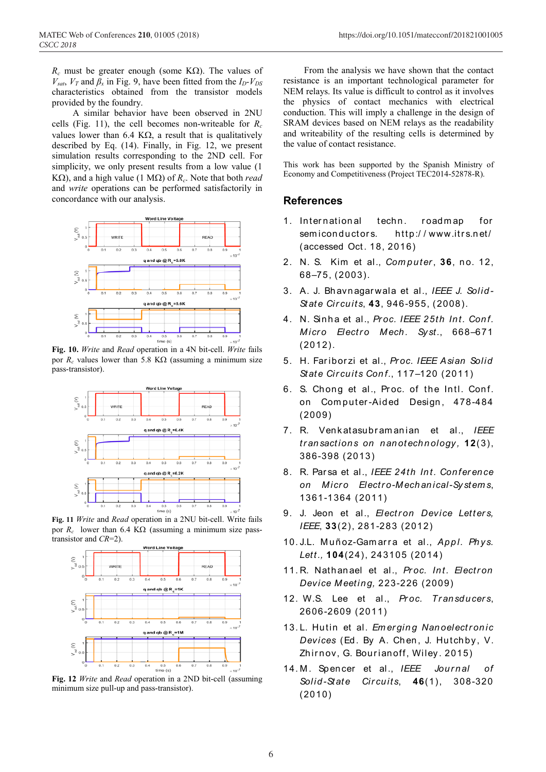*R<sub>c</sub>* must be greater enough (some KΩ). The values of  $V_{\text{sat}}$ ,  $V_T$  and  $\beta_x$  in Fig. 9, have been fitted from the  $I_D-V_{DS}$ characteristics obtained from the transistor models provided by the foundry.

A similar behavior have been observed in 2NU cells (Fig. 11), the cell becomes non-writeable for *Rc* values lower than 6.4 K $\Omega$ , a result that is qualitatively described by Eq. (14). Finally, in Fig. 12, we present simulation results corresponding to the 2ND cell. For simplicity, we only present results from a low value (1 KΩ), and a high value (1 MΩ) of *Rc*. Note that both *read* and *write* operations can be performed satisfactorily in concordance with our analysis.



**Fig. 10.** *Write* and *Read* operation in a 4N bit-cell. *Write* fails por  $R_c$  values lower than 5.8 K $\Omega$  (assuming a minimum size pass-transistor).



**Fig. 11** *Write* and *Read* operation in a 2NU bit-cell. Write fails por  $R_c$  lower than 6.4 K $\Omega$  (assuming a minimum size passtransistor and *CR*=2).



**Fig. 12** *Write* and *Read* operation in a 2ND bit-cell (assuming minimum size pull-up and pass-transistor).

From the analysis we have shown that the contact resistance is an important technological parameter for NEM relays. Its value is difficult to control as it involves the physics of contact mechanics with electrical conduction. This will imply a challenge in the design of SRAM devices based on NEM relays as the readability and writeability of the resulting cells is determined by the value of contact resistance.

This work has been supported by the Spanish Ministry of Economy and Competitiveness (Project TEC2014-52878-R).

# **References**

- 1. International techn. roadmap for semiconductors. http://www.itrs.net/ (accessed Oct. 18, 2016)
- 2. N. S. Kim et al., *Com put er*, **36**, no. 12, 68–75, (2003).
- 3. A. J. Bh avn agar wala et al., *IEEE J. Solid - Stat e Cir cuits*, **43**, 946-955, (2008).
- 4. N. Sinha et al., *Proc. IEEE 25th Int. Conf. Micro Electro Mech. Syst.*, 668-671 (2012).
- 5. H. Far ibor zi et al., *Pr oc. IEEE Asian Solid State Circuits Conf., 117-120 (2011)*
- 6. S. Chong et al., Proc. of the Intl. Conf. on Computer-Aided Design, 478-484 (2009)
- 7. R. Ven katasubr am an ian et al., *IEEE tr an sact ion s on n an ot ech n ology ,* **12**(3), 386-398 (2013)
- 8. R. Parsa et al., IEEE 24th Int. Conference *on M icr o Electr o-Mechanical-Sy stem s*, 1361-1364 (2011)
- 9. J. Jeon et al., *Electron Device Letters*, *IEEE*, **33**(2), 281-283 (2012)
- 10. J.L. Muñoz-Gamarra et al., Appl. Phys. *Lett.,* **104**(24), 243105 (2014)
- 11. R. Nathanael et al., *Proc. Int. Electron Device Meeting,* 223-226 (2009)
- 12. W.S. Lee et al., *Pr oc. Tr an sd ucer s*, 2606-2609 (2011)
- 13. L. Hutin et al. *Em er gin g Nan oelectr on ic Devices* (Ed . By A. Ch en , J. Hutch by, V. Zhirnov, G. Bourian off, Wiley. 2015)
- 14. M . Sp en cer et al., *IEEE Jour n al of Solid -Stat e Cir cu its*, **46**(1), 308-320 (2010)